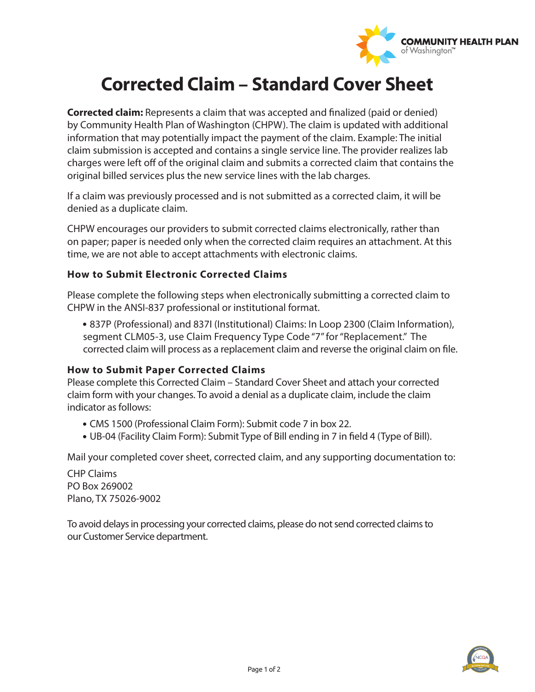

# **Corrected Claim – Standard Cover Sheet**

**Corrected claim:** Represents a claim that was accepted and finalized (paid or denied) by Community Health Plan of Washington (CHPW). The claim is updated with additional information that may potentially impact the payment of the claim. Example: The initial claim submission is accepted and contains a single service line. The provider realizes lab charges were left off of the original claim and submits a corrected claim that contains the original billed services plus the new service lines with the lab charges.

If a claim was previously processed and is not submitted as a corrected claim, it will be denied as a duplicate claim.

CHPW encourages our providers to submit corrected claims electronically, rather than on paper; paper is needed only when the corrected claim requires an attachment. At this time, we are not able to accept attachments with electronic claims.

### **How to Submit Electronic Corrected Claims**

Please complete the following steps when electronically submitting a corrected claim to CHPW in the ANSI-837 professional or institutional format.

837P (Professional) and 837I (Institutional) Claims: In Loop 2300 (Claim Information), segment CLM05-3, use Claim Frequency Type Code "7" for "Replacement." The corrected claim will process as a replacement claim and reverse the original claim on file.

#### **How to Submit Paper Corrected Claims**

Please complete this Corrected Claim – Standard Cover Sheet and attach your corrected claim form with your changes. To avoid a denial as a duplicate claim, include the claim indicator as follows:

- CMS 1500 (Professional Claim Form): Submit code 7 in box 22.
- UB-04 (Facility Claim Form): Submit Type of Bill ending in 7 in field 4 (Type of Bill).

Mail your completed cover sheet, corrected claim, and any supporting documentation to:

CHP Claims PO Box 269002 Plano, TX 75026-9002

To avoid delays in processing your corrected claims, please do not send corrected claims to our Customer Service department.